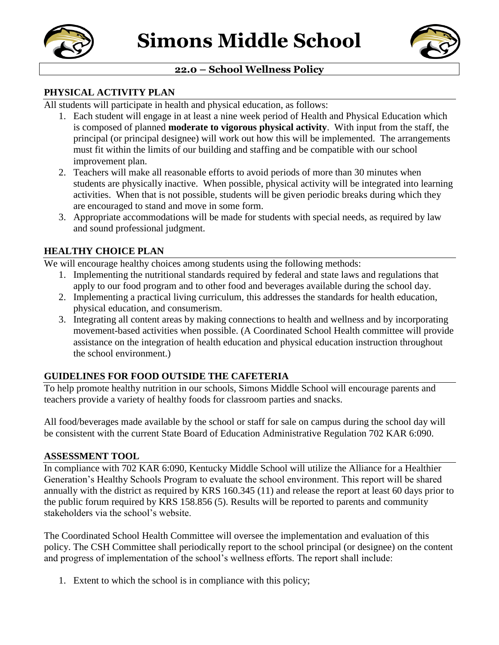



## **22.0 – School Wellness Policy**

#### **PHYSICAL ACTIVITY PLAN**

All students will participate in health and physical education, as follows:

- 1. Each student will engage in at least a nine week period of Health and Physical Education which is composed of planned **moderate to vigorous physical activity**. With input from the staff, the principal (or principal designee) will work out how this will be implemented. The arrangements must fit within the limits of our building and staffing and be compatible with our school improvement plan.
- 2. Teachers will make all reasonable efforts to avoid periods of more than 30 minutes when students are physically inactive. When possible, physical activity will be integrated into learning activities. When that is not possible, students will be given periodic breaks during which they are encouraged to stand and move in some form.
- 3. Appropriate accommodations will be made for students with special needs, as required by law and sound professional judgment.

## **HEALTHY CHOICE PLAN**

We will encourage healthy choices among students using the following methods:

- 1. Implementing the nutritional standards required by federal and state laws and regulations that apply to our food program and to other food and beverages available during the school day.
- 2. Implementing a practical living curriculum, this addresses the standards for health education, physical education, and consumerism.
- 3. Integrating all content areas by making connections to health and wellness and by incorporating movement-based activities when possible. (A Coordinated School Health committee will provide assistance on the integration of health education and physical education instruction throughout the school environment.)

## **GUIDELINES FOR FOOD OUTSIDE THE CAFETERIA**

To help promote healthy nutrition in our schools, Simons Middle School will encourage parents and teachers provide a variety of healthy foods for classroom parties and snacks.

All food/beverages made available by the school or staff for sale on campus during the school day will be consistent with the current State Board of Education Administrative Regulation 702 KAR 6:090.

#### **ASSESSMENT TOOL**

In compliance with 702 KAR 6:090, Kentucky Middle School will utilize the Alliance for a Healthier Generation's Healthy Schools Program to evaluate the school environment. This report will be shared annually with the district as required by KRS 160.345 (11) and release the report at least 60 days prior to the public forum required by KRS 158.856 (5). Results will be reported to parents and community stakeholders via the school's website.

The Coordinated School Health Committee will oversee the implementation and evaluation of this policy. The CSH Committee shall periodically report to the school principal (or designee) on the content and progress of implementation of the school's wellness efforts. The report shall include:

1. Extent to which the school is in compliance with this policy;